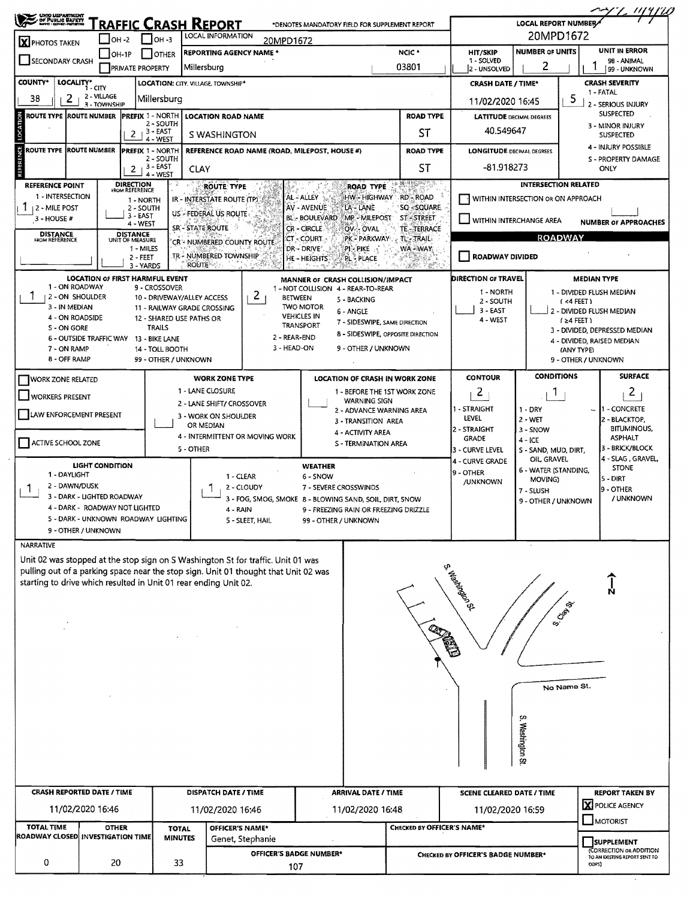| <b>CHOO LIGPARTMENT</b><br>DF PUSLIC BAFETT<br><b>X</b> PHOTOS TAKEN                                                                                                                                                                        | $OH -2$                                                                             | $\Box$ OH -3                                                                                                                                                                                                                                                   | <b>RAFFIC CRASH REPORT</b><br>LOCAL INFORMATION                                                                                                                                                    | 20MPD1672                                     | *DENOTES MANDATORY FIELD FOR SUPPLEMENT REPORT                                                                                                                                                                                                                                                                                                                                                |                                                                                                 |                                                                                                                         | <b>LOCAL REPORT NUMBER/</b>                                                                                 | 20MPD1672                                                                                                                             |                                                                                                                               |  |  |
|---------------------------------------------------------------------------------------------------------------------------------------------------------------------------------------------------------------------------------------------|-------------------------------------------------------------------------------------|----------------------------------------------------------------------------------------------------------------------------------------------------------------------------------------------------------------------------------------------------------------|----------------------------------------------------------------------------------------------------------------------------------------------------------------------------------------------------|-----------------------------------------------|-----------------------------------------------------------------------------------------------------------------------------------------------------------------------------------------------------------------------------------------------------------------------------------------------------------------------------------------------------------------------------------------------|-------------------------------------------------------------------------------------------------|-------------------------------------------------------------------------------------------------------------------------|-------------------------------------------------------------------------------------------------------------|---------------------------------------------------------------------------------------------------------------------------------------|-------------------------------------------------------------------------------------------------------------------------------|--|--|
| <b>SECONDARY CRASH</b>                                                                                                                                                                                                                      | $ OH-1P $                                                                           | <b>I</b> JOTHER<br><b>PRIVATE PROPERTY</b>                                                                                                                                                                                                                     | <b>REPORTING AGENCY NAME *</b><br>Millersburg                                                                                                                                                      |                                               |                                                                                                                                                                                                                                                                                                                                                                                               | NCIC <sup>*</sup><br>03801                                                                      | <b>HIT/SKIP</b><br>1 - SOLVED                                                                                           | <b>NUMBER OF UNITS</b><br>2                                                                                 |                                                                                                                                       | UNIT IN ERROR<br>98 - ANIMAL                                                                                                  |  |  |
| COUNTY*<br>LOCALITY*                                                                                                                                                                                                                        |                                                                                     |                                                                                                                                                                                                                                                                | LOCATION: CITY, VILLAGE, TOWNSHIP*                                                                                                                                                                 |                                               |                                                                                                                                                                                                                                                                                                                                                                                               |                                                                                                 | 2 - UNSOLVED                                                                                                            |                                                                                                             |                                                                                                                                       | 99 - UNKNOWN                                                                                                                  |  |  |
| 38<br>2                                                                                                                                                                                                                                     | 1 - CITY<br>2 - VILLAGE                                                             | Millersburg                                                                                                                                                                                                                                                    |                                                                                                                                                                                                    | <b>CRASH DATE / TIME*</b><br>11/02/2020 16:45 |                                                                                                                                                                                                                                                                                                                                                                                               | <b>CRASH SEVERITY</b><br>1 - FATAL<br>5                                                         |                                                                                                                         |                                                                                                             |                                                                                                                                       |                                                                                                                               |  |  |
| ROUTE TYPE  ROUTE NUMBER                                                                                                                                                                                                                    | 3 - TOWNSHIP                                                                        | <b>PREFIX 1 - NORTH</b>                                                                                                                                                                                                                                        | <b>LOCATION ROAD NAME</b>                                                                                                                                                                          |                                               |                                                                                                                                                                                                                                                                                                                                                                                               | <b>ROAD TYPE</b>                                                                                |                                                                                                                         | <b>LATITUDE DECIMAL DEGREES</b>                                                                             |                                                                                                                                       | 2 - SERIOUS INJURY<br><b>SUSPECTED</b>                                                                                        |  |  |
|                                                                                                                                                                                                                                             |                                                                                     | 2 - SOUTH<br>$2+3-EXST$<br>4 - WEST                                                                                                                                                                                                                            | S WASHINGTON                                                                                                                                                                                       |                                               |                                                                                                                                                                                                                                                                                                                                                                                               | SΤ                                                                                              | 40.549647                                                                                                               |                                                                                                             |                                                                                                                                       | 3 - MINOR INJURY<br><b>SUSPECTED</b>                                                                                          |  |  |
| ROUTE TYPE  ROUTE NUMBER                                                                                                                                                                                                                    |                                                                                     | <b>PREFIX 1 - NORTH</b><br>2 - SOUTH<br>$+3 - EAST$<br>2                                                                                                                                                                                                       | CLAY                                                                                                                                                                                               |                                               | REFERENCE ROAD NAME (ROAD, MILEPOST, HOUSE #)                                                                                                                                                                                                                                                                                                                                                 | <b>ROAD TYPE</b><br>ST                                                                          | <b>LONGITUDE DECIMAL DEGREES</b><br>$-81.918273$                                                                        |                                                                                                             |                                                                                                                                       | 4 - INJURY POSSIBLE<br>S - PROPERTY DAMAGE<br>ONLY                                                                            |  |  |
| <b>REFERENCE POINT</b><br>1 - INTERSECTION<br>12 - MILE POST<br>$3 - HOUSE$ #<br><b>DISTANCE</b><br>FROM REFERENCE<br>1 - ON ROADWAY<br>2 - ON SHOULDER<br>3 - IN MEDIAN                                                                    |                                                                                     | 4 - WEST<br><b>DIRECTION</b><br>FROM REFERENCE<br>1 - NORTH<br>2 - SOUTH<br>3 - EAST<br>4 - WEST<br>DISTANCE<br>UNIT OF MEASURE<br>1 - MILES<br>2 - FEET<br>3 - YARDS<br><b>LOCATION OF FIRST HARMFUL EVENT</b><br>9 - CROSSOVER<br>10 - DRIVEWAY/ALLEY ACCESS | <b>ROUTE TYPE</b><br>IR - INTERSTATE ROUTE (TP)<br>US - FEDERAL US ROUTE<br>SR'-STATE ROUTE<br>CR - NUMBERED COUNTY ROUTE<br>TR - NUMBERED TOWNSHIP<br><b>ROUTE</b><br>11 - RAILWAY GRADE CROSSING | $\mathbf{2}$<br><b>BETWEEN</b>                | <b>ROAD TYPE</b><br>AL-ALLEY<br>HW - HIGHWAY<br>AV - AVENUE<br>LA - LANE<br><b>BL BOULEVARD</b><br>MP <sup>3</sup> MILEPOST<br>CR-CIRCLE<br>OV- OVAL<br>CT - COURT<br>PK - PARKWAY,<br>DR-DRIVE<br>PI-PIKE<br>HE - HEIGHTS<br><b>PL-PLACE</b><br>MANNER OF CRASH COLLISION/IMPACT<br>1 - NOT COLLISION 4 - REAR-TO-REAR<br>5 - BACKING<br><b>TWO MOTOR</b><br>6 - ANGLE<br><b>VEHICLES IN</b> | <b>BARSER</b><br>RD - ROAD<br>SQ-SQUARE<br>ST-STREET<br>TE-TERRACE<br><b>TL-TRAIL</b><br>WA-WAY | WITHIN INTERCHANGE AREA<br><b>ROADWAY DIVIDED</b><br><b>DIRECTION OF TRAVEL</b><br>1 - NORTH<br>2 - SOUTH<br>$3 - EAST$ | WITHIN INTERSECTION OR ON APPROACH                                                                          | <b>INTERSECTION RELATED</b><br><b>ROADWAY</b><br><b>MEDIAN TYPE</b><br>1 - DIVIDED FLUSH MEDIAN<br>(4FET)<br>2 - DIVIDED FLUSH MEDIAN | <b>NUMBER OF APPROACHES</b>                                                                                                   |  |  |
| 4 - ON ROADSIDE<br>S - ON GORE<br>7 - ON RAMP                                                                                                                                                                                               |                                                                                     | 12 - SHARED USE PATHS OR<br>TRAILS<br>6 - OUTSIDE TRAFFIC WAY 13 - BIKE LANE<br>14 - TOLL BOOTH                                                                                                                                                                |                                                                                                                                                                                                    | 2 - REAR-END<br>3 - HEAD-ON                   | 7 - SIDESWIPE, SAME DIRECTION<br>TRANSPORT<br>8 - SIDESWIPE, OPPOSITE DIRECTION<br>9 - OTHER / UNKNOWN                                                                                                                                                                                                                                                                                        | 4 - WEST                                                                                        |                                                                                                                         | $(24$ FEET)<br>3 - DIVIDED, DEPRESSED MEDIAN<br>4 - DIVIDED, RAISED MEDIAN<br>(ANY TYPE)                    |                                                                                                                                       |                                                                                                                               |  |  |
| 8 - OFF RAMP                                                                                                                                                                                                                                |                                                                                     | 99 - OTHER / UNKNOWN                                                                                                                                                                                                                                           | <b>WORK ZONE TYPE</b>                                                                                                                                                                              |                                               | <b>LOCATION OF CRASH IN WORK ZONE</b>                                                                                                                                                                                                                                                                                                                                                         |                                                                                                 | <b>CONTOUR</b>                                                                                                          | <b>CONDITIONS</b>                                                                                           | 9 - OTHER / UNKNOWN                                                                                                                   | <b>SURFACE</b>                                                                                                                |  |  |
| 1 - LANE CLOSURE<br><b>WORKERS PRESENT</b><br>2 - LANE SHIFT/ CROSSOVER<br>LAW ENFORCEMENT PRESENT<br>3 - WORK ON SHOULDER<br>OR MEDIAN<br>4 - INTERMITTENT OR MOVING WORK<br>ACTIVE SCHOOL ZONE<br>5 - OTHER<br>LIGHT CONDITION            |                                                                                     |                                                                                                                                                                                                                                                                |                                                                                                                                                                                                    |                                               | 1 - BEFORE THE 1ST WORK ZONE<br><b>WARNING SIGN</b><br>2 - ADVANCE WARNING AREA<br>3 - TRANSITION AREA<br>4 - ACTIVITY AREA<br>S - TERMINATION AREA<br><b>WEATHER</b>                                                                                                                                                                                                                         |                                                                                                 | 2<br>1 - STRAIGHT<br>LEVEL<br>2 - STRAIGHT<br>GRADE<br>3 - CURVE LEVEL<br>4 - CURVE GRADE                               | П.<br>$1 - DRY$<br>$2 - WET$<br>3 - SNOW<br>$4 - ICE$<br>S - SAND, MUD, DIRT,<br>OIL GRAVEL<br><b>STONE</b> |                                                                                                                                       | $\mathbf{2}$<br>1 - CONCRETE<br>2 - BLACKTOP,<br><b>BITUMINOUS,</b><br><b>ASPHALT</b><br>3 - BRICK/BLOCK<br>4 - SLAG, GRAVEL, |  |  |
| 1 - DAYLIGHT<br>2 - DAWN/DUSK                                                                                                                                                                                                               | 3 - DARK - LIGHTED ROADWAY<br>4 - DARK - ROADWAY NOT LIGHTED<br>9 - OTHER / UNKNOWN | 5 - DARK - UNKNOWN ROADWAY LIGHTING                                                                                                                                                                                                                            | 1 - CLEAR<br>1.<br>4 - RAIN                                                                                                                                                                        | 2 - CLOUDY<br>5 - SLEET, HAIL                 | 6 - SNOW<br>7 - SEVERE CROSSWINDS<br>3 - FOG, SMOG, SMOKE 8 - BLOWING SAND, SOIL, DIRT, SNOW<br>9 - FREEZING RAIN OR FREEZING DRIZZLE<br>99 - OTHER / UNKNOWN                                                                                                                                                                                                                                 |                                                                                                 | 9 - OTHER<br>/UNKNOWN                                                                                                   | 6 - WATER (STANDING,<br>MOVING)<br>7 - SLUSH<br>9 - OTHER / UNKNOWN                                         |                                                                                                                                       | 5 - DIRT<br>9 - OTHER<br>/ UNKNOWN                                                                                            |  |  |
| <b>NARRATIVE</b>                                                                                                                                                                                                                            |                                                                                     |                                                                                                                                                                                                                                                                |                                                                                                                                                                                                    |                                               |                                                                                                                                                                                                                                                                                                                                                                                               |                                                                                                 |                                                                                                                         |                                                                                                             |                                                                                                                                       |                                                                                                                               |  |  |
| Unit 02 was stopped at the stop sign on S Washington St for traffic. Unit 01 was<br>pulling out of a parking space near the stop sign. Unit 01 thought that Unit 02 was<br>starting to drive which resulted in Unit 01 rear ending Unit 02. |                                                                                     |                                                                                                                                                                                                                                                                | $\sim$                                                                                                                                                                                             |                                               |                                                                                                                                                                                                                                                                                                                                                                                               |                                                                                                 | S. Washington St.                                                                                                       | çn<br>Washington St                                                                                         | <b>S. Chap</b><br>No Name St.                                                                                                         | ׀<br>ק                                                                                                                        |  |  |
|                                                                                                                                                                                                                                             |                                                                                     |                                                                                                                                                                                                                                                                |                                                                                                                                                                                                    |                                               |                                                                                                                                                                                                                                                                                                                                                                                               |                                                                                                 |                                                                                                                         |                                                                                                             |                                                                                                                                       |                                                                                                                               |  |  |
| <b>CRASH REPORTED DATE / TIME</b>                                                                                                                                                                                                           | 11/02/2020 16:46                                                                    |                                                                                                                                                                                                                                                                | DISPATCH DATE / TIME<br>11/02/2020 16:46                                                                                                                                                           |                                               | <b>ARRIVAL DATE / TIME</b><br>11/02/2020 16:48                                                                                                                                                                                                                                                                                                                                                |                                                                                                 | <b>SCENE CLEARED DATE / TIME</b><br>11/02/2020 16:59                                                                    |                                                                                                             |                                                                                                                                       | <b>REPORT TAKEN BY</b><br><b>X</b> POLICE AGENCY                                                                              |  |  |
| <b>TOTAL TIME</b><br>ROADWAY CLOSED INVESTIGATION TIME                                                                                                                                                                                      | <b>OTHER</b>                                                                        | <b>TOTAL</b><br><b>MINUTES</b>                                                                                                                                                                                                                                 | <b>OFFICER'S NAME*</b>                                                                                                                                                                             | Genet, Stephanie                              |                                                                                                                                                                                                                                                                                                                                                                                               | CHECKED BY OFFICER'S NAME*                                                                      |                                                                                                                         |                                                                                                             | MOTORIST                                                                                                                              | SUPPLEMENT                                                                                                                    |  |  |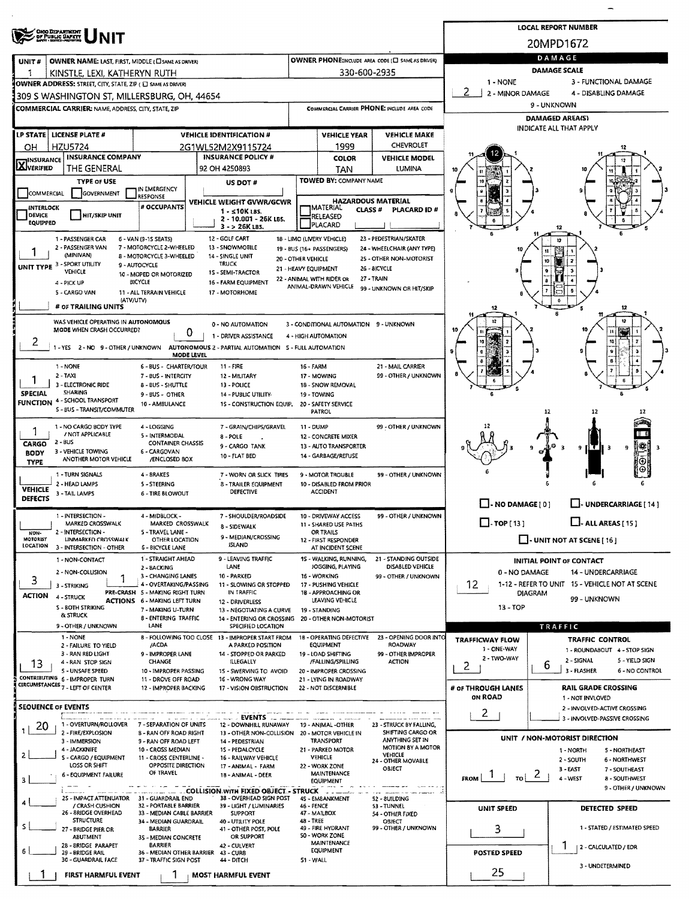|                                                                                                                                                                 | <b>LOCAL REPORT NUMBER</b> |                                                      |                                                       |                                       |                                                                     |  |  |  |  |  |  |
|-----------------------------------------------------------------------------------------------------------------------------------------------------------------|----------------------------|------------------------------------------------------|-------------------------------------------------------|---------------------------------------|---------------------------------------------------------------------|--|--|--|--|--|--|
| <b>CHOO DEPARTMENT</b><br>OF PUBLIC GAFETY<br><b>NIT</b>                                                                                                        |                            |                                                      |                                                       |                                       | 20MPD1672                                                           |  |  |  |  |  |  |
| OWNER NAME: LAST, FIRST, MIDDLE (CI SAME AS DRIVER)<br>UNIT#                                                                                                    |                            |                                                      | OWNER PHONE:INCLUDE AREA CODE (E) SAME AS DRIVERY     | DAMAGE                                |                                                                     |  |  |  |  |  |  |
| 1<br>KINSTLE, LEXI, KATHERYN RUTH                                                                                                                               |                            | 330-600-2935                                         |                                                       | DAMAGE SCALE                          |                                                                     |  |  |  |  |  |  |
| OWNER ADDRESS: STREET, CITY, STATE, ZIP (E) SAME AS DRIVER)                                                                                                     |                            |                                                      |                                                       | 1 - NONE                              | 3 - FUNCTIONAL DAMAGE                                               |  |  |  |  |  |  |
| 309 S WASHINGTON ST, MILLERSBURG, OH, 44654                                                                                                                     |                            |                                                      |                                                       | 2 - MINOR DAMAGE                      | 4 - DISABLING DAMAGE                                                |  |  |  |  |  |  |
| <b>COMMERCIAL CARRIER: NAME, ADDRESS, CITY, STATE, ZIP</b>                                                                                                      |                            |                                                      | COMMERCIAL CARRIER PHONE: INCLUDE AREA CODE           | 9 - UNKNOWN<br><b>DAMAGED AREA(S)</b> |                                                                     |  |  |  |  |  |  |
|                                                                                                                                                                 |                            |                                                      |                                                       |                                       | INDICATE ALL THAT APPLY                                             |  |  |  |  |  |  |
| LP STATE   LICENSE PLATE #<br><b>VEHICLE IDENTIFICATION #</b><br><b>HZU5724</b><br>2G1WL52M2X9115724                                                            |                            | <b>VEHICLE YEAR</b><br>1999                          | <b>VEHICLE MAKE</b><br>CHEVROLET                      |                                       |                                                                     |  |  |  |  |  |  |
| OН<br><b>INSURANCE COMPANY</b><br><b>INSURANCE POLICY #</b><br><b>INSURANCE</b>                                                                                 |                            | <b>COLOR</b>                                         | <b>VEHICLE MODEL</b>                                  |                                       |                                                                     |  |  |  |  |  |  |
| <b>AVERIFIED</b><br>THE GENERAL<br>92 OH 4250893                                                                                                                |                            | TAN                                                  | <b>LUMINA</b>                                         | 10                                    |                                                                     |  |  |  |  |  |  |
| <b>TYPE OF USE</b><br>US DOT #<br>IN EMERGENCY                                                                                                                  |                            | <b>TOWED BY: COMPANY NAME</b>                        |                                                       |                                       |                                                                     |  |  |  |  |  |  |
| COMMERCIAL<br><b>GOVERNMENT</b><br>RESPONSE<br>VEHICLE WEIGHT GVWR/GCWR                                                                                         |                            | <b>HAZARDOUS MATERIAL</b>                            |                                                       |                                       |                                                                     |  |  |  |  |  |  |
| # OCCUPANTS<br><b>INTERLOCK</b><br>1 - ≤10K LBS.<br><b>DEVICE</b><br><b>HIT/SKIP UNIT</b>                                                                       |                            | <b>IMATERIAL</b><br><b>CLASS#</b><br><b>RELEASED</b> | PLACARD ID#                                           |                                       |                                                                     |  |  |  |  |  |  |
| 2 - 10.001 - 26K LBS.<br>EQUIPPED<br>3 - > 26K LBS.                                                                                                             |                            | PLACARD                                              |                                                       |                                       |                                                                     |  |  |  |  |  |  |
| 12 - GOLF CART<br>1 - PASSENGER CAR<br>6 - VAN (9-15 SEATS)<br>7 - MOTORCYCLE 2-WHEELED                                                                         | 18 - LIMO (LIVERY VEHICLE) |                                                      | 23 - PEDESTRIAN/SKATER                                |                                       |                                                                     |  |  |  |  |  |  |
| 2 - PASSENGER VAN<br>13 - SNOWMOBILE<br>(MINIVAN)<br>8 - MOTORCYCLE 3-WHEELED<br>14 - SINGLE UNIT                                                               | 20 - OTHER VEHICLE         | 19 - BUS (16+ PASSENGERS)                            | 24 - WHEELCHAIR (ANY TYPE)<br>25 - OTHER NON-MOTORIST |                                       |                                                                     |  |  |  |  |  |  |
| UNIT TYPE 3 - SPORT UTILITY<br>TRUCK<br>9 - AUTOCYCLE<br>VEHICLE<br>15 - SEMI-TRACTOR<br>10 - MOPED OR MOTORIZED                                                | 21 - HEAVY EQUIPMENT       |                                                      | 26 - BICYCLE                                          |                                       |                                                                     |  |  |  |  |  |  |
| <b>BICYCLE</b><br>16 - FARM EQUIPMENT<br>4 - PICK UP                                                                                                            |                            | 22 - ANIMAL WITH RIDER OR<br>ANIMAL-DRAWN VEHICLE    | 27 - TRAIN<br>99 - UNKNOWN OR HIT/SKIP                |                                       |                                                                     |  |  |  |  |  |  |
| 5 - CARGO VAN<br>11 - ALL TERRAIN VEHICLE<br>17 - MOTORHOME<br>(ATV/UTV)                                                                                        |                            |                                                      |                                                       |                                       |                                                                     |  |  |  |  |  |  |
| # OF TRAILING UNITS                                                                                                                                             |                            |                                                      |                                                       |                                       |                                                                     |  |  |  |  |  |  |
| WAS VEHICLE OPERATING IN AUTONOMOUS<br>0 - NO AUTOMATION<br>MODE WHEN CRASH OCCURRED?                                                                           |                            | 3 - CONDITIONAL AUTOMATION 9 - UNKNOWN               |                                                       |                                       |                                                                     |  |  |  |  |  |  |
| 0<br>1 - DRIVER ASSISTANCE<br>$\mathbf{z}$                                                                                                                      | 4 - HIGH AUTOMATION        |                                                      |                                                       |                                       |                                                                     |  |  |  |  |  |  |
| 1 - YES 2 - NO 9 - OTHER / UNKNOWN AUTONOMOUS 2 - PARTIAL AUTOMATION 5 - FULL AUTOMATION<br>MODE LEVEL                                                          |                            |                                                      |                                                       |                                       |                                                                     |  |  |  |  |  |  |
| 6 - BUS - CHARTER/TOUR<br>11 - FIRE<br>1 - NONE                                                                                                                 | 16 - FARM                  |                                                      | 21 - MAIL CARRIER                                     |                                       |                                                                     |  |  |  |  |  |  |
| $2 - TAXI$<br>7 - BUS - INTERCITY<br>12 - MILITARY<br>3 - ELECTRONIC RIDE<br><b>B-BUS-SHUTTLE</b><br>13 - POLICE                                                |                            | 17 - MOWING<br>18 - SNOW REMOVAL                     | 99 - OTHER / UNKNOWN                                  |                                       | 5                                                                   |  |  |  |  |  |  |
| SHARING<br>SPECIAL<br>9 - BUS - OTHER<br>14 - PUBLIC UTILITY-<br><b>FUNCTION 4 - SCHOOL TRANSPORT</b>                                                           |                            | 19 - TOWING                                          |                                                       |                                       |                                                                     |  |  |  |  |  |  |
| 10 - AMBULANCE<br>15 - CONSTRUCTION EQUIP.<br>S - BUS - TRANSIT/COMMUTER                                                                                        |                            | 20 - SAFETY SERVICE<br><b>PATROL</b>                 |                                                       |                                       | -12<br>12                                                           |  |  |  |  |  |  |
| 1 - NO CARGO BODY TYPE<br>4 - LOGGING<br>7 - GRAIN/CHIPS/GRAVEL<br>1                                                                                            | <b>11 - DUMP</b>           |                                                      | 99 - OTHER / UNKNOWN                                  |                                       |                                                                     |  |  |  |  |  |  |
| / NOT APPLICABLE<br>5 - INTERMODAL<br>$8 - POLE$<br>2 - BUS<br><b>CONTAINER CHASSIS</b><br><b>CARGO</b>                                                         |                            | 12 - CONCRETE MIXER                                  |                                                       |                                       |                                                                     |  |  |  |  |  |  |
| 9 - CARGO TANK<br>3 - VEHICLE TOWING<br>6 - CARGOVAN<br><b>BODY</b><br>10 - FLAT BED<br>ANOTHER MOTOR VEHICLE<br>/ENCLOSED BOX                                  |                            | 13 - AUTO TRANSPORTER<br>14 - GARBAGE/REFUSE         |                                                       |                                       | ļ₩<br>$\overline{\mathbf{3}}$<br>-3<br>9 I<br>E T H<br>- 3<br>9     |  |  |  |  |  |  |
| <b>TYPE</b><br>1 - TURN SIGNALS<br>4 - BRAKES                                                                                                                   |                            | 9 - MOTOR TROUBLE                                    |                                                       |                                       |                                                                     |  |  |  |  |  |  |
| 7 - WORN OR SLICK TIRES<br>2 - HEAD LAMPS<br>5 - STEERING<br>8 - TRAILER EQUIPMENT                                                                              |                            | 10 - DISABLED FROM PRIOR                             | 99 - OTHER / UNKNOWN                                  |                                       |                                                                     |  |  |  |  |  |  |
| <b>VEHICLE</b><br>DEFECTIVE<br>3 - TAIL LAMPS<br><b>6 - TIRE BLOWOUT</b><br>DEFECTS                                                                             |                            | <b>ACCIDENT</b>                                      |                                                       |                                       |                                                                     |  |  |  |  |  |  |
| 1 - INTERSECTION -<br>4 - MIDBLOCK -<br>7 - SHOULDER/ROADSIDE                                                                                                   |                            | 10 - DRIVEWAY ACCESS                                 | 99 - OTHER / UNKNOWN                                  | $\Box$ - NO DAMAGE $\Box$             | UNDERCARRIAGE [14]                                                  |  |  |  |  |  |  |
| MARKED CROSSWALK<br>MARKED CROSSWALK<br>8 - SIDEWALK<br>2 - INTERSECTION -                                                                                      |                            | 11 - SHARED USE PATHS                                |                                                       | $\Box$ -TOP[13]                       | $L$ . ALL AREAS [ 15 ]                                              |  |  |  |  |  |  |
| 5 - TRAVEL LANE -<br>NON-<br>9 - MEDIAN/CROSSING<br>MOTORIST<br>UNMARKED CROSSWALK<br>OTHER LOCATION<br><b>ISLAND</b><br><b>LOCATION</b>                        |                            | OR TRAILS<br>12 - FIRST RESPONDER                    |                                                       |                                       | $\Box$ - UNIT NOT AT SCENE [ 16 ]                                   |  |  |  |  |  |  |
| 3 - INTERSECTION - OTHER<br>6 - BICYCLE LANE<br>1 - STRAIGHT AHEAD<br>9 - LEAVING TRAFFIC<br>1 - NON-CONTACT                                                    |                            | AT INCIDENT SCENE<br>15 - WALKING, RUNNING,          | 21 - STANDING OUTSIDE                                 |                                       | <b>INITIAL POINT OF CONTACT</b>                                     |  |  |  |  |  |  |
| LANE<br>2 - BACKING<br>2 - NON-COLLISION                                                                                                                        |                            | JOGGING, PLAYING                                     | DISABLED VEHICLE                                      | 0 - NO DAMAGE                         | 14 - UNDERCARRIAGE                                                  |  |  |  |  |  |  |
| 3 - CHANGING LANES<br>10 - PARKED<br>3<br>4 - OVERTAKING/PASSING<br>11 - SLOWING OR STOPPED<br>3 - STRIKING                                                     |                            | 16 - WORKING<br>17 - PUSHING VEHICLE                 | 99 - OTHER / UNKNOWN                                  | 12                                    | 1-12 - REFER TO UNIT 15 - VEHICLE NOT AT SCENE                      |  |  |  |  |  |  |
| PRE-CRASH 5 - MAKING RIGHT TURN<br>IN TRAFFIC<br><b>ACTION</b><br>4 - STRUCK<br><b>ACTIONS 6 - MAKING LEFT TURN</b><br>12 - DRIVERLESS                          |                            | 18 - APPROACHING OR<br>LEAVING VEHICLE               |                                                       |                                       | <b>DIAGRAM</b><br>99 - UNKNOWN                                      |  |  |  |  |  |  |
| S - BOTH STRIKING<br>7 - MAKING U-TURN<br>13 - NEGOTIATING A CURVE<br>& STRUCK<br>8 - ENTERING TRAFFIC<br>14 - ENTERING OR CROSSING 20 - OTHER NON-MOTORIST     |                            | 19 - STANDING                                        |                                                       | 13 - TOP                              |                                                                     |  |  |  |  |  |  |
| LANE<br>9 - OTHER / UNKNOWN<br>SPECIFIED LOCATION                                                                                                               |                            |                                                      |                                                       |                                       | TRAFFIC                                                             |  |  |  |  |  |  |
| 1 - NONE<br>B - FOLLOWING TOO CLOSE 13 - IMPROPER START FROM<br>/ACDA<br>A PARKED POSITION<br>2 - FAILURE TO YIELD                                              |                            | 18 - OPERATING DEFECTIVE<br><b>EQUIPMENT</b>         | 23 - OPENING DOOR INTO<br>ROADWAY                     | <b>TRAFFICWAY FLOW</b>                | <b>TRAFFIC CONTROL</b>                                              |  |  |  |  |  |  |
| 3 - RAN RED LIGHT<br>9 - IMPROPER LANE<br>14 - STOPPED OR PARKED                                                                                                |                            | 19 - LOAD SHIFTING                                   | 99 - OTHER IMPROPER                                   | 1 - ONE-WAY<br>2 - TWO-WAY            | 1 - ROUNDABOUT 4 - STOP SIGN<br>2 - SIGNAL<br>5 - YIELD SIGN        |  |  |  |  |  |  |
| CHANGE<br>ILLEGALLY<br>4 - RAN STOP SIGN<br>13<br>S - UNSAFE SPEED<br>10 - IMPROPER PASSING<br>15 - SWERVING TO AVOID                                           |                            | /FALLING/SPILLING<br>20 - IMPROPER CROSSING          | <b>ACTION</b>                                         | 2.                                    | 6<br>3 - FLASHER<br>6 - NO CONTROL                                  |  |  |  |  |  |  |
| CONTRIBUTING 6 - IMPROPER TURN<br>11 - DROVE OFF ROAD<br>16 - WRONG WAY<br>CIRCUMSTANCES 7 - LEFT OF CENTER<br>12 - IMPROPER BACKING<br>17 - VISION OBSTRUCTION |                            | 21 - LYING IN ROADWAY<br>22 - NOT DISCERNIBLE        |                                                       | # OF THROUGH LANES                    | <b>RAIL GRADE CROSSING</b>                                          |  |  |  |  |  |  |
|                                                                                                                                                                 |                            |                                                      |                                                       | <b>ON ROAD</b>                        | 1 - NOT INVLOVED                                                    |  |  |  |  |  |  |
| <b>SEOUENCE OF EVENTS</b><br><b>EVENTS</b>                                                                                                                      |                            |                                                      |                                                       | $\mathbf{2}$                          | 2 - INVOLVED-ACTIVE CROSSING                                        |  |  |  |  |  |  |
| 1 - OVERTURN/ROLLOVER<br>12 - DOWNHILL RUNAWAY<br>7 - SEPARATION OF UNITS<br>20                                                                                 |                            | 19 - ANIMAL -OTHER                                   | 23 - STRUCK BY FALLING,                               |                                       | 3 - INVOLVED-PASSIVE CROSSING                                       |  |  |  |  |  |  |
| 2 - FIRE/EXPLOSION<br>13 - OTHER NON-COLLISION<br><b>B-RAN OFF ROAD RIGHT</b><br>3 - IMMERSION<br>9 - RAN OFF ROAD LEFT<br>14 - PEDESTRIAN                      |                            | 20 - MOTOR VEHICLE IN<br>TRANSPORT                   | SHIFTING CARGO OR<br>ANYTHING SET IN                  |                                       | UNIT / NON-MOTORIST DIRECTION                                       |  |  |  |  |  |  |
| 4 - JACKKNIFE<br>10 - CROSS MEDIAN<br>15 - PEDALCYCLE<br>2<br>S - CARGO / EQUIPMENT<br>11 - CROSS CENTERLINE -<br>16 - RAILWAY VEHICLE                          |                            | 21 - PARKED MOTOR<br>VEHICLE                         | MOTION 8Y A MOTOR<br>VEHICLE                          |                                       | <b>S-NORTHEAST</b><br>1 - NORTH<br>2 - SOUTH<br>6 - NORTHWEST       |  |  |  |  |  |  |
| LOSS OR SHIFT<br>OPPOSITE DIRECTION<br>17 - ANIMAL - FARM<br>OF TRAVEL                                                                                          |                            | 22 - WORK ZONE<br><b>MAINTENANCE</b>                 | 24 - OTHER MOVABLE<br>OBJECT                          |                                       | 3-EAST<br>7 - SOUTHEAST                                             |  |  |  |  |  |  |
| 6 - EQUIPMENT FAILURE<br>18 - ANIMAL - DEER<br>3                                                                                                                |                            | EQUIPMENT                                            |                                                       | FROM<br>TO                            | $\mathcal{L}$ 1<br>4 - WEST<br>8 - SOUTHWEST<br>9 - OTHER / UNKNOWN |  |  |  |  |  |  |
| ____ __ __ __ COLLISION.WITH FIXED OBJECT. - STRUCK<br>25 - IMPACT ATTENUATOR<br>38 - OVERHEAD SIGN POST<br>31 - GUARDRAIL END                                  |                            | the comment of<br>45 - EM8ANKMENT                    | 52 - 8UILDING                                         |                                       |                                                                     |  |  |  |  |  |  |
| / CRASH CUSHION<br>32 - PORTABLE BARRIER<br>39 - LIGHT / LUMINARIES<br>26 - 8RIDGE OVERHEAD<br>33 - MEDIAN CABLE BARRIER<br><b>SUPPORT</b>                      | 46 - FENCE                 | 47 - MAILBOX                                         | 53 - TUNNEL<br>54 - OTHER FIXED                       | UNIT SPEED                            | DETECTED SPEED                                                      |  |  |  |  |  |  |
| <b>STRUCTURE</b><br>34 - MEDIAN GUARDRAIL<br>40 - UTILITY POLE<br>s<br><b>BARRIER</b><br>41 - OTHER POST, POLE<br>27 - BRIDGE PIER OR                           | 48 - TREE                  | 49 - FIRE HYDRANT                                    | OBJECT<br>99 - OTHER / UNKNOWN                        | 3                                     | 1 - STATED / ESTIMATED SPEED                                        |  |  |  |  |  |  |
| OR SUPPORT<br><b>ABUTMENT</b><br>35 - MEDIAN CONCRETE                                                                                                           |                            | 50 - WORK ZONE<br>MAINTENANCE                        |                                                       |                                       |                                                                     |  |  |  |  |  |  |
| 28 - BRIDGE PARAPET<br><b>BARRIER</b><br>42 - CULVERT<br>29 - BRIDGE RAIL<br>36 - MEDIAN OTHER BARRIER<br>43 - CUR8                                             |                            | <b>EQUIPMENT</b>                                     |                                                       | <b>POSTED SPEED</b>                   | 2 - CALCULATED / EDR                                                |  |  |  |  |  |  |
| 30 - GUARDRAIL FACE<br>37 - TRAFFIC SIGN POST<br>44 - DITCH                                                                                                     | 51 - WALL                  |                                                      |                                                       | 3 - UNDETERMINED<br>25                |                                                                     |  |  |  |  |  |  |
| <b>FIRST HARMFUL EVENT</b><br><b>MOST HARMFUL EVENT</b>                                                                                                         |                            |                                                      |                                                       |                                       |                                                                     |  |  |  |  |  |  |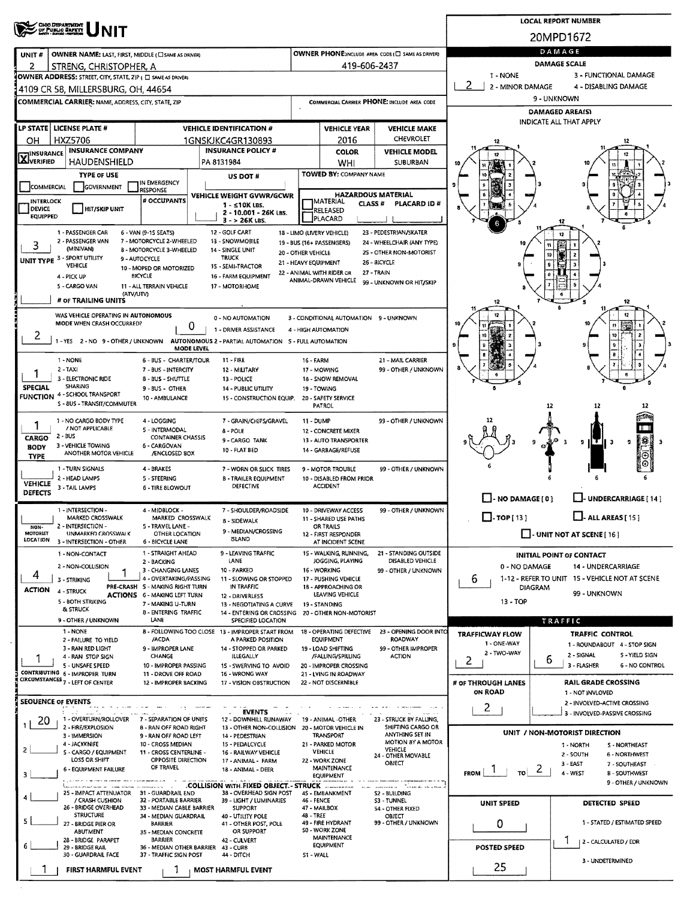|                                                                                                                                            |                                                         |                                               |                                                      |                                                 | <b>LOCAL REPORT NUMBER</b>                                                |  |  |  |  |  |  |  |
|--------------------------------------------------------------------------------------------------------------------------------------------|---------------------------------------------------------|-----------------------------------------------|------------------------------------------------------|-------------------------------------------------|---------------------------------------------------------------------------|--|--|--|--|--|--|--|
| CHOO DEPARTMENT<br>OF PUBLIC SAFETY                                                                                                        | 20MPD1672                                               |                                               |                                                      |                                                 |                                                                           |  |  |  |  |  |  |  |
| OWNER NAME: LAST, FIRST, MIDDLE (C) SAME AS ORIVER)<br>UNIT#                                                                               |                                                         |                                               | OWNER PHONE SINCLUDE AREA CODE (C) SAME AS DRIVERY   | DAMAGE                                          |                                                                           |  |  |  |  |  |  |  |
| 2<br>STRENG, CHRISTOPHER, A                                                                                                                |                                                         | 419-606-2437                                  |                                                      |                                                 | DAMAGE SCALE                                                              |  |  |  |  |  |  |  |
| OWNER ADDRESS: STREET, CITY, STATE, ZIP ( E) SAME AS DRIVER)                                                                               |                                                         |                                               |                                                      | 1 - NONE<br>2<br>2 - MINOR DAMAGE               | 3 - FUNCTIONAL DAMAGE<br>4 - DISABLING DAMAGE                             |  |  |  |  |  |  |  |
| 4109 CR 58, MILLERSBURG, OH, 44654                                                                                                         |                                                         |                                               |                                                      |                                                 | 9 - UNKNOWN                                                               |  |  |  |  |  |  |  |
| COMMERCIAL CARRIER: NAME, ADDRESS, CITY, STATE, ZIP                                                                                        |                                                         |                                               | COMMERCIAL CARRIER PHONE: INCLUDE AREA CODE          | <b>DAMAGED AREA(S)</b>                          |                                                                           |  |  |  |  |  |  |  |
| LP STATE   LICENSE PLATE #<br><b>VEHICLE IDENTIFICATION #</b>                                                                              |                                                         | <b>VEHICLE YEAR</b>                           | <b>VEHICLE MAKE</b>                                  | INDICATE ALL THAT APPLY                         |                                                                           |  |  |  |  |  |  |  |
| HXZ5706<br>1GNSKJKC4GR130893<br>OН                                                                                                         |                                                         | 2016                                          | CHEVROLET                                            | 12                                              |                                                                           |  |  |  |  |  |  |  |
| <b>INSURANCE COMPANY</b><br><b>INSURANCE POLICY #</b><br><b>HINSURANCE</b>                                                                 |                                                         | <b>COLOR</b>                                  | <b>VEHICLE MODEL</b>                                 |                                                 |                                                                           |  |  |  |  |  |  |  |
| <b>LÄJVERIFIED</b><br>HAUDENSHIELD<br>PA 8131984                                                                                           |                                                         | WHI                                           | SUBURBAN                                             |                                                 |                                                                           |  |  |  |  |  |  |  |
| <b>TYPE OF USE</b><br>US DOT #<br>IN EMERGENCY<br>GOVERNMENT<br>COMMERCIAL                                                                 |                                                         | <b>TOWED BY: COMPANY NAME</b>                 |                                                      |                                                 |                                                                           |  |  |  |  |  |  |  |
| RESPONSE<br>VEHICLE WEIGHT GVWR/GCWR<br># OCCUPANTS<br><b>INTERLOCK</b>                                                                    |                                                         | <b>HAZARDOUS MATERIAL</b>                     |                                                      |                                                 |                                                                           |  |  |  |  |  |  |  |
| $1 - 510K$ LBS.<br><b>DEVICE</b><br><b>HIT/SKIP UNIT</b><br>2 - 10.001 - 26K LBS.                                                          |                                                         | IMATERIAL<br>CLASS <sup>#</sup><br>RELEASED   | PLACARD ID#                                          |                                                 |                                                                           |  |  |  |  |  |  |  |
| <b>EQUIPPED</b><br>$3 - 26K$ LBS.                                                                                                          |                                                         | PLACARD                                       |                                                      |                                                 |                                                                           |  |  |  |  |  |  |  |
| 12 - GOLF CART<br>1 - PASSENGER CAR<br>6 - VAN (9-15 SEATS)<br>2 - PASSENGER VAN<br>7 - MOTORCYCLE 2-WHEELED<br>13 - SNOWMOBILE            | 18 - LIMO (LIVERY VEHICLE)<br>19 - BUS (16+ PASSENGERS) |                                               | 23 - PEDESTRIAN/SKATER<br>24 - WHEELCHAIR (ANY TYPE) |                                                 |                                                                           |  |  |  |  |  |  |  |
| 3<br>(MINIVAN)<br>8 - MOTORCYCLE 3-WHEELED<br>14 - SINGLE UNIT<br>UNIT TYPE 3 - SPORT UTILITY<br><b>TRUCK</b><br>9 - AUTOCYCLE             | 20 - OTHER VEHICLE                                      |                                               | 25 - OTHER NON-MOTORIST                              |                                                 | 10                                                                        |  |  |  |  |  |  |  |
| <b>VEHICLE</b><br>15 - SEMI-TRACTOR<br>10 - MOPED OR MOTORIZED                                                                             | 21 - HEAVY EQUIPMENT<br>22 - ANIMAL WITH RIDER OR       |                                               | 26 - BICYCLE<br>27 - TRAIN                           |                                                 |                                                                           |  |  |  |  |  |  |  |
| <b>BICYCLE</b><br>4 - PICK UP<br>16 - FARM EQUIPMENT<br>5 - CARGO VAN<br>11 - ALL TERRAIN VEHICLE<br>17 - MOTORHOME                        |                                                         | ANIMAL-DRAWN VEHICLE                          | 99 - UNKNOWN OR HIT/SKIP                             |                                                 |                                                                           |  |  |  |  |  |  |  |
| (ATV/UTV)<br># or TRAILING UNITS                                                                                                           |                                                         |                                               |                                                      | 12                                              | 12                                                                        |  |  |  |  |  |  |  |
| WAS VEHICLE OPERATING IN AUTONOMOUS                                                                                                        |                                                         |                                               |                                                      |                                                 |                                                                           |  |  |  |  |  |  |  |
| 0 - NO AUTOMATION<br>MODE WHEN CRASH OCCURRED?<br>o<br>1 - DRIVER ASSISTANCE                                                               | 4 - HIGH AUTOMATION                                     | 3 - CONDITIONAL AUTOMATION 9 - UNKNOWN        |                                                      |                                                 | Ħ                                                                         |  |  |  |  |  |  |  |
| 2<br>1 - YES 2 - NO 9 - OTHER / UNKNOWN<br>AUTONOMOUS 2 - PARTIAL AUTOMATION 5 - FULL AUTOMATION                                           |                                                         |                                               |                                                      |                                                 | 10                                                                        |  |  |  |  |  |  |  |
| MODE LEVEL                                                                                                                                 |                                                         |                                               |                                                      |                                                 |                                                                           |  |  |  |  |  |  |  |
| 1 - NONE<br>6 - BUS - CHARTER/TOUR<br>11 - FIRE<br>$2 - TAXI$<br>7 - BUS - INTERCITY<br>12 - MILITARY                                      | 16 - FARM                                               | 17 - MOWING                                   | 21 - MAIL CARRIER<br>99 - OTHER / UNKNOWN            |                                                 |                                                                           |  |  |  |  |  |  |  |
| 3 - ELECTRONIC RIDE<br><b>B-BUS-SHUTTLE</b><br>13 - POLICE<br>SHARING<br>SPECIAL                                                           |                                                         | 18 - SNOW REMOVAL                             |                                                      |                                                 |                                                                           |  |  |  |  |  |  |  |
| 9 - BUS - OTHER<br>14 - PUBLIC UTILITY<br><b>FUNCTION 4 - SCHOOL TRANSPORT</b><br>10 - AMBULANCE<br>15 - CONSTRUCTION EQUIP.               |                                                         | 19 - TOWING<br>20 - SAFETY SERVICE            |                                                      |                                                 |                                                                           |  |  |  |  |  |  |  |
| S - 8US - TRANSIT/COMMUTER                                                                                                                 |                                                         | PATROL                                        |                                                      |                                                 | 12                                                                        |  |  |  |  |  |  |  |
| 1 - NO CARGO BODY TYPE<br>4-LOGGING<br>7 - GRAIN/CHIPS/GRAVEL<br>1<br>/ NOT APPLICABLE<br>5 - INTERMODAL<br>8 - POLE                       | 11 - DUMP                                               | <b>12 - CONCRETE MIXER</b>                    | 99 - OTHER / UNKNOWN                                 |                                                 |                                                                           |  |  |  |  |  |  |  |
| 2 - BUS<br><b>CONTAINER CHASSIS</b><br>CARGO<br>9 - CARGO TANK<br>3 - VEHICLE TOWING<br>6 - CARGOVAN                                       |                                                         | 13 - AUTO TRANSPORTER                         |                                                      |                                                 | !%<br>э<br>я                                                              |  |  |  |  |  |  |  |
| <b>BODY</b><br>10 - FLAT BED<br>ANOTHER MOTOR VEHICLE<br>/ENCLOSED BOX<br><b>TYPE</b>                                                      |                                                         | 14 - GARBAGE/REFUSE                           |                                                      |                                                 |                                                                           |  |  |  |  |  |  |  |
| 1 - TURN SIGNALS<br>4 - BRAKES<br>7 - WORN OR SLICK TIRES                                                                                  |                                                         | 9 - MOTOR TROUBLE                             | 99 - OTHER / UNKNOWN                                 |                                                 |                                                                           |  |  |  |  |  |  |  |
| 2 - HEAD LAMPS<br>5 - STEERING<br><b>B - TRAILER EQUIPMENT</b><br><b>VEHICLE</b><br>DEFECTIVE<br>3 - TAIL LAMPS<br>6 - TIRE SLOWOUT        |                                                         | 10 - DISABLED FROM PRIOR<br><b>ACCIDENT</b>   |                                                      |                                                 |                                                                           |  |  |  |  |  |  |  |
| DEFECTS                                                                                                                                    |                                                         |                                               |                                                      | $\Box$ - NO DAMAGE [0]                          | - UNDERCARRIAGE [14]                                                      |  |  |  |  |  |  |  |
| 1 - INTERSECTION -<br>4 - MIDBLOCK -<br>7 - SHOULDER/ROADSIDE<br>MARKED CROSSWALK<br>MARKED CROSSWALK<br><b>B - SIDEWALK</b>               |                                                         | 10 - DRIVEWAY ACCESS<br>11 - SHARED USE PATHS | 99 - OTHER / UNKNOWN                                 | $\Box$ -TOP[13]                                 | $\Box$ - ALL AREAS [ 15 ]                                                 |  |  |  |  |  |  |  |
| 2 - INTERSECTION -<br>5 - TRAVEL LANE -<br>NON-<br>9 - MEDIAN/CROSSING<br>MOTORIST<br>UNMARKED CROSSWALK<br>OTHER LOCATION                 |                                                         | OR TRAILS<br>12 - FIRST RESPONDER             |                                                      | $\Box$ - UNIT NOT AT SCENE [ 16 ]               |                                                                           |  |  |  |  |  |  |  |
| <b>ISLAND</b><br>LOCATION<br>3 - INTERSECTION - OTHER<br>6 - BICYCLE LANE                                                                  |                                                         | AT INCIDENT SCENE                             |                                                      |                                                 |                                                                           |  |  |  |  |  |  |  |
| 1 - STRAIGHT AHEAD<br>9 - LEAVING TRAFFIC<br>1 - NON-CONTACT<br>LANE<br>2 - BACKING                                                        |                                                         | 15 - WALKING, RUNNING,<br>JOGGING, PLAYING    | 21 - STANDING OUTSIDE<br>DISABLED VEHICLE            |                                                 | <b>INITIAL POINT OF CONTACT</b>                                           |  |  |  |  |  |  |  |
| 2 - NON-COLLISION<br>10 - PARKED<br>3 - CHANGING LANES<br>4<br>4 - OVERTAKING/PASSING<br>11 - SLOWING OR STOPPED                           |                                                         | 16 - WORKING<br>17 - PUSHING VEHICLE          | 99 - OTHER / UNKNOWN                                 | 0 - NO DAMAGE                                   | 14 - UNDERCARRIAGE<br>1-12 - REFER TO UNIT 15 - VEHICLE NOT AT SCENE      |  |  |  |  |  |  |  |
| 3 - STRIKING<br>PRE-CRASH 5 - MAKING RIGHT TURN<br>IN TRAFFIC<br><b>ACTION</b><br>4 - STRUCK                                               |                                                         | 18 - APPROACHING OR                           |                                                      | 6<br>DIAGRAM                                    | 99 - UNKNOWN                                                              |  |  |  |  |  |  |  |
| <b>ACTIONS 6 - MAKING LEFT TURN</b><br>12 - DRIVERLESS<br>5 - BOTH STRIKING<br>7 - MAKING U-TURN<br>13 - NEGOTIATING A CURVE               |                                                         | LEAVING VEHICLE<br>19 - STANDING              |                                                      | $13 - TOP$                                      |                                                                           |  |  |  |  |  |  |  |
| & STRUCK<br>8 - ENTERING TRAFFIC<br>9 - OTHER / UNKNOWN<br>LANE<br>SPECIFIED LOCATION                                                      | 14 - ENTERING OR CROSSING 20 - OTHER NON-MOTORIST       |                                               |                                                      |                                                 | TRAFFIC                                                                   |  |  |  |  |  |  |  |
| 1 - NONE<br>B - FOLLOWING TOO CLOSE 13 - IMPROPER START FROM                                                                               |                                                         | 18 - OPERATING DEFECTIVE                      | 23 - OPENING DOOR INTO                               | <b>TRAFFICWAY FLOW</b>                          | <b>TRAFFIC CONTROL</b>                                                    |  |  |  |  |  |  |  |
| /ACDA<br>A PARKED POSITION<br>2 - FAILURE TO YIELD<br>3 - RAN RED LIGHT<br>9 - IMPROPER LANE<br>14 - STOPPED OR PARKED                     |                                                         | EQUIPMENT<br>19 - LOAD SHIFTING               | ROADWAY<br>99 - OTHER IMPROPER                       | 1 - ONE-WAY                                     | 1 - ROUNDABOUT 4 - STOP SIGN                                              |  |  |  |  |  |  |  |
| CHANGE<br>4 - RAN STOP SIGN<br><b>ILLEGALLY</b><br>5 - UNSAFE SPEED<br>10 - IMPROPER PASSING<br>15 - SWERVING TO AVOID                     |                                                         | /FALLING/SPILLING<br>20 - IMPROPER CROSSING   | <b>ACTION</b>                                        | 2 - TWO-WAY<br>2                                | S - YIELD SIGN<br>2 - SIGNAL<br>6<br>3 - FLASHER<br><b>6 - NO CONTROL</b> |  |  |  |  |  |  |  |
| CONTRIBUTING 6 - IMPROPER TURN<br>16 - WRONG WAY<br>11 - DROVE OFF ROAD                                                                    |                                                         | 21 - LYING IN ROADWAY                         |                                                      |                                                 |                                                                           |  |  |  |  |  |  |  |
| <b>CIRCUMSTANCES 7 - LEFT OF CENTER</b><br>12 - IMPROPER BACKING<br>17 - VISION OBSTRUCTION                                                |                                                         | 22 - NOT DISCERNIBLE                          |                                                      | # OF THROUGH LANES<br>ON ROAD                   | RAIL GRADE CROSSING<br>1 - NOT INVLOVED                                   |  |  |  |  |  |  |  |
| <b>SEOUENCE OF EVENTS</b>                                                                                                                  |                                                         |                                               |                                                      | 2                                               | 2 - INVOLVED-ACTIVE CROSSING                                              |  |  |  |  |  |  |  |
| <b>EVENTS</b><br>1 - OVERTURN/ROLLOVER<br>7 - SEPARATION OF UNITS<br>12 - DOWNHILL RUNAWAY<br>20.                                          |                                                         | 19 - ANIMAL -OTHER                            | 23 - STRUCK BY FALLING,                              |                                                 | 3 - INVOLVED-PASSIVE CROSSING                                             |  |  |  |  |  |  |  |
| 2 - FIRE/EXPLOSION<br>8 - RAN OFF ROAD RIGHT<br>3 - IMMERSION<br>9 - RAN OFF ROAD LEFT<br>14 - PEDESTRIAN                                  | 13 - OTHER NON-COLLISION 20 - MOTOR VEHICLE IN          | TRANSPORT                                     | SHIFTING CARGO OR<br>ANYTHING SET IN                 |                                                 | UNIT / NON-MOTORIST DIRECTION                                             |  |  |  |  |  |  |  |
| 4 - JACKKNIFE<br>10 - CROSS MEDIAN<br>15 - PEDALCYCLE<br>2<br>S - CARGO / EQUIPMENT                                                        |                                                         | 21 - PARKED MOTOR<br><b>VEHICLE</b>           | MOTION BY A MOTOR<br>VEHICLE                         |                                                 | 1 - NORTH<br>S - NORTHEAST                                                |  |  |  |  |  |  |  |
| 11 - CROSS CENTERLINE -<br>16 - RAILWAY VEHICLE<br>LOSS OR SHIFT<br>OPPOSITE DIRECTION<br>17 - ANIMAL - FARM                               |                                                         | 22 - WORK ZONE                                | 24 - OTHER MOVABLE<br>OBJECT                         |                                                 | 2 - SOUTH<br>6 - NORTHWEST<br>3 - EAST<br>7 - SOUTHEAST                   |  |  |  |  |  |  |  |
| OF TRAVEL<br>6 - EQUIPMENT FAILURE<br>18 - ANIMAL - DEER<br>3                                                                              |                                                         | MAINTENANCE<br><b>EQUIPMENT</b>               |                                                      | $\frac{1}{10}$ 2<br>$\mathbf{L}$<br><b>FROM</b> | 4 - WEST<br><b>B-SOUTHWEST</b>                                            |  |  |  |  |  |  |  |
| .COLLISION WITH FIXED OBJECT - STRUCK ALL AND<br>38 - OVERHEAD SIGN POST<br>25 - IMPACT ATTENUATOR 31 - GUARDRAIL END                      |                                                         | 45 - EMBANKMENT                               | aasaa u Tanaarika waxaa u<br><b>S2 - BUILDING</b>    |                                                 | 9 - OTHER / UNKNOWN                                                       |  |  |  |  |  |  |  |
| / CRASH CUSHION<br>32 - PORTABLE BARRIER<br>39 - LIGHT / LUMINARIES<br>26 - BRIDGE OVERHEAD<br>33 - MEDIAN CABLE BARRIER<br><b>SUPPORT</b> | 46 - FENCE                                              | 47 - MAILBOX                                  | <b>S3 - TUNNEL</b><br>54 - OTHER FIXED               | UNIT SPEED                                      | DETECTED SPEED                                                            |  |  |  |  |  |  |  |
| <b>STRUCTURE</b><br>34 - MEDIAN GUARDRAIL<br>40 - UTILITY POLE<br>5                                                                        | 48 - TREE                                               | 49 - FIRE HYDRANT                             | OBJECT<br>99 - OTHER / UNKNOWN                       |                                                 | 1 - STATED / ESTIMATED SPEED                                              |  |  |  |  |  |  |  |
| 27 - BRIDGE PIER OR<br><b>BARRIER</b><br>41 - OTHER POST, POLE<br>ABUTMENT<br>OR SUPPORT<br>35 - MEDIAN CONCRETE                           |                                                         | <b>SO - WORK ZONE</b>                         |                                                      | 0                                               |                                                                           |  |  |  |  |  |  |  |
| 28 - BRIDGE PARAPET<br>BARRIER<br>42 - CULVERT<br>29 - BRIDGE RAIL<br>36 - MEDIAN OTHER BARRIER<br>43 - CURB                               |                                                         | <b>MAINTENANCE</b><br><b>EQUIPMENT</b>        |                                                      | POSTED SPEED                                    | 1<br>  2 - CALCULATED / EDR                                               |  |  |  |  |  |  |  |
| 30 - GUARDRAIL FACE<br>37 - TRAFFIC SIGN POST<br>44 - DITCH                                                                                |                                                         | 3 - UNDETERMINED                              |                                                      |                                                 |                                                                           |  |  |  |  |  |  |  |
| FIRST HARMFUL EVENT<br>MOST HARMFUL EVENT                                                                                                  |                                                         |                                               |                                                      | 25                                              |                                                                           |  |  |  |  |  |  |  |